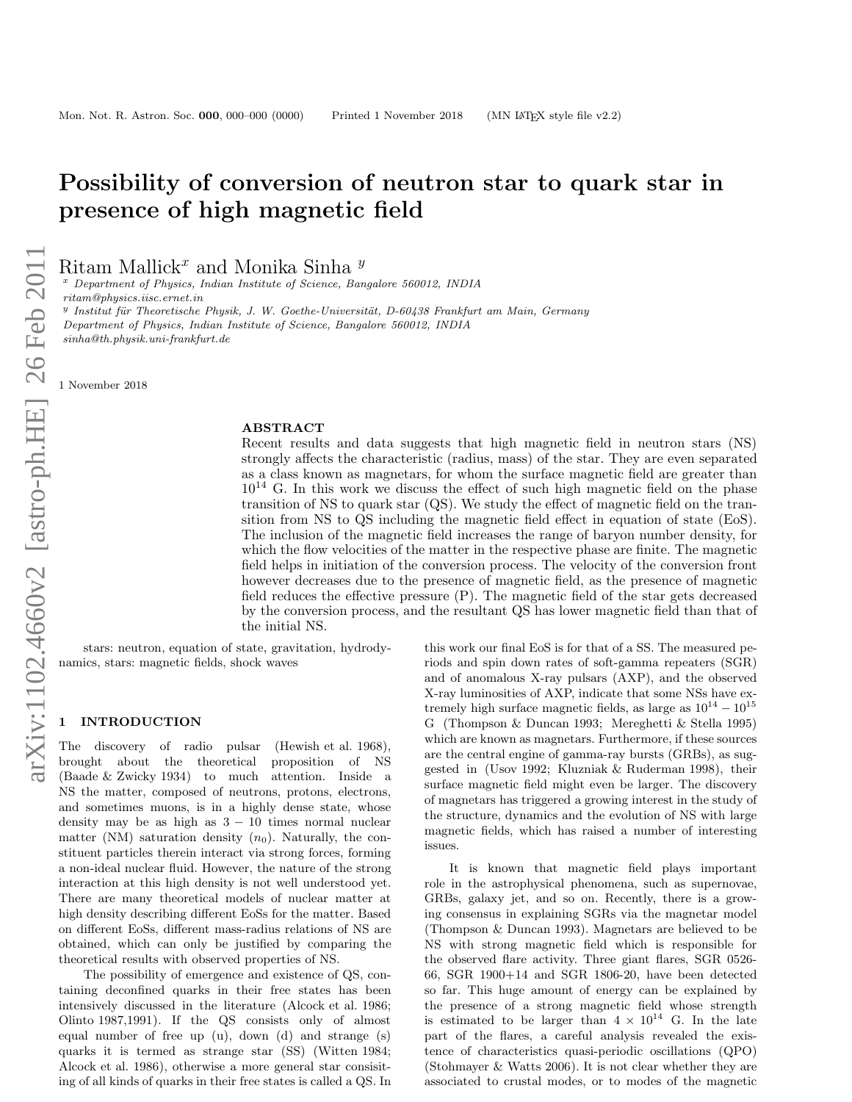# Possibility of conversion of neutron star to quark star in presence of high magnetic field

Ritam Mallick<sup>x</sup> and Monika Sinha  $^y$ 

 $x$  Department of Physics, Indian Institute of Science, Bangalore 560012, INDIA

ritam@physics.iisc.ernet.in

<sup>y</sup> Institut für Theoretische Physik, J. W. Goethe-Universität, D-60438 Frankfurt am Main, Germany

Department of Physics, Indian Institute of Science, Bangalore 560012, INDIA

sinha@th.physik.uni-frankfurt.de

1 November 2018

## ABSTRACT

Recent results and data suggests that high magnetic field in neutron stars (NS) strongly affects the characteristic (radius, mass) of the star. They are even separated as a class known as magnetars, for whom the surface magnetic field are greater than  $10^{14}$  G. In this work we discuss the effect of such high magnetic field on the phase transition of NS to quark star (QS). We study the effect of magnetic field on the transition from NS to QS including the magnetic field effect in equation of state (EoS). The inclusion of the magnetic field increases the range of baryon number density, for which the flow velocities of the matter in the respective phase are finite. The magnetic field helps in initiation of the conversion process. The velocity of the conversion front however decreases due to the presence of magnetic field, as the presence of magnetic field reduces the effective pressure (P). The magnetic field of the star gets decreased by the conversion process, and the resultant QS has lower magnetic field than that of the initial NS.

stars: neutron, equation of state, gravitation, hydrodynamics, stars: magnetic fields, shock waves

#### **INTRODUCTION**

The discovery of radio pulsar (Hewish et al. 1968), brought about the theoretical proposition of NS (Baade & Zwicky 1934) to much attention. Inside a NS the matter, composed of neutrons, protons, electrons, and sometimes muons, is in a highly dense state, whose density may be as high as  $3 - 10$  times normal nuclear matter (NM) saturation density  $(n_0)$ . Naturally, the constituent particles therein interact via strong forces, forming a non-ideal nuclear fluid. However, the nature of the strong interaction at this high density is not well understood yet. There are many theoretical models of nuclear matter at high density describing different EoSs for the matter. Based on different EoSs, different mass-radius relations of NS are obtained, which can only be justified by comparing the theoretical results with observed properties of NS.

The possibility of emergence and existence of QS, containing deconfined quarks in their free states has been intensively discussed in the literature (Alcock et al. 1986; Olinto 1987,1991). If the QS consists only of almost equal number of free up (u), down (d) and strange (s) quarks it is termed as strange star (SS) (Witten 1984; Alcock et al. 1986), otherwise a more general star consisiting of all kinds of quarks in their free states is called a QS. In

this work our final EoS is for that of a SS. The measured periods and spin down rates of soft-gamma repeaters (SGR) and of anomalous X-ray pulsars (AXP), and the observed X-ray luminosities of AXP, indicate that some NSs have extremely high surface magnetic fields, as large as  $10^{14} - 10^{15}$ G (Thompson & Duncan 1993; Mereghetti & Stella 1995) which are known as magnetars. Furthermore, if these sources are the central engine of gamma-ray bursts (GRBs), as suggested in (Usov 1992; Kluzniak & Ruderman 1998), their surface magnetic field might even be larger. The discovery of magnetars has triggered a growing interest in the study of the structure, dynamics and the evolution of NS with large magnetic fields, which has raised a number of interesting issues.

It is known that magnetic field plays important role in the astrophysical phenomena, such as supernovae, GRBs, galaxy jet, and so on. Recently, there is a growing consensus in explaining SGRs via the magnetar model (Thompson & Duncan 1993). Magnetars are believed to be NS with strong magnetic field which is responsible for the observed flare activity. Three giant flares, SGR 0526- 66, SGR 1900+14 and SGR 1806-20, have been detected so far. This huge amount of energy can be explained by the presence of a strong magnetic field whose strength is estimated to be larger than  $4 \times 10^{14}$  G. In the late part of the flares, a careful analysis revealed the existence of characteristics quasi-periodic oscillations (QPO) (Stohmayer & Watts 2006). It is not clear whether they are associated to crustal modes, or to modes of the magnetic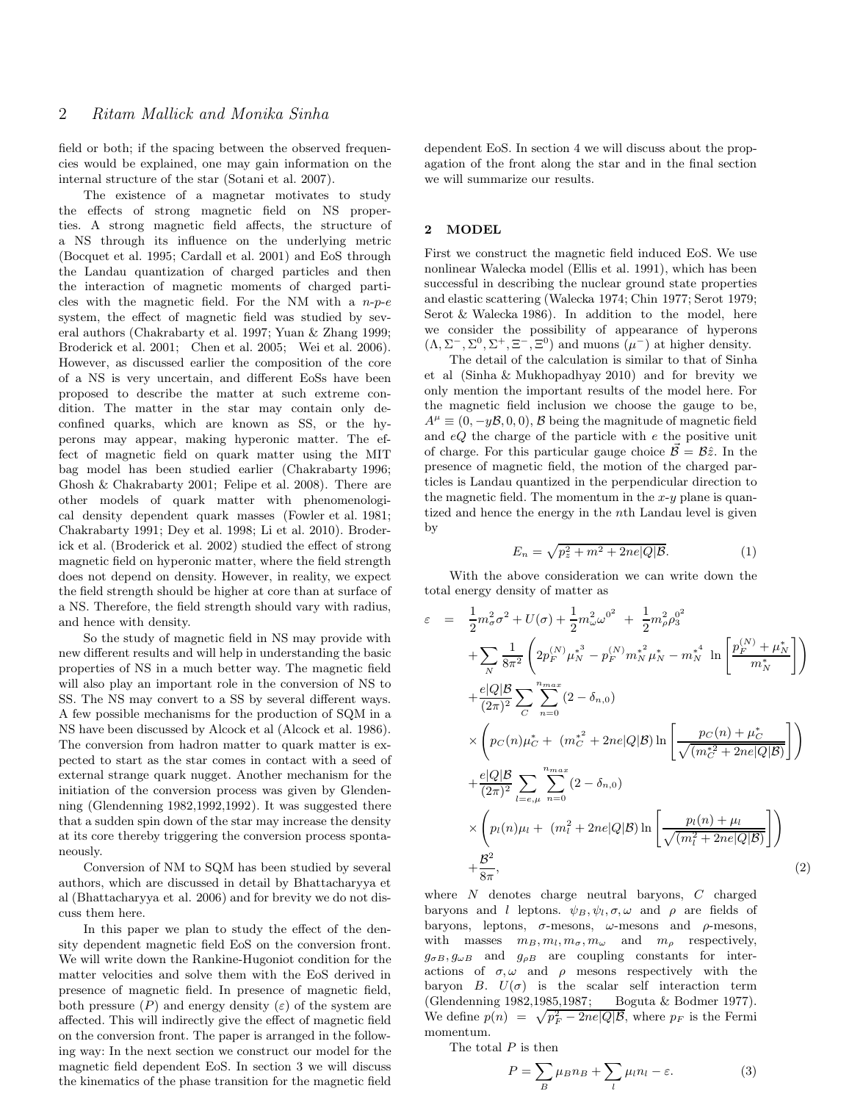field or both; if the spacing between the observed frequencies would be explained, one may gain information on the internal structure of the star (Sotani et al. 2007).

The existence of a magnetar motivates to study the effects of strong magnetic field on NS properties. A strong magnetic field affects, the structure of a NS through its influence on the underlying metric (Bocquet et al. 1995; Cardall et al. 2001) and EoS through the Landau quantization of charged particles and then the interaction of magnetic moments of charged particles with the magnetic field. For the NM with a  $n-p-e$ system, the effect of magnetic field was studied by several authors (Chakrabarty et al. 1997; Yuan & Zhang 1999; Broderick et al. 2001; Chen et al. 2005; Wei et al. 2006). However, as discussed earlier the composition of the core of a NS is very uncertain, and different EoSs have been proposed to describe the matter at such extreme condition. The matter in the star may contain only deconfined quarks, which are known as SS, or the hyperons may appear, making hyperonic matter. The effect of magnetic field on quark matter using the MIT bag model has been studied earlier (Chakrabarty 1996; Ghosh & Chakrabarty 2001; Felipe et al. 2008). There are other models of quark matter with phenomenological density dependent quark masses (Fowler et al. 1981; Chakrabarty 1991; Dey et al. 1998; Li et al. 2010). Broderick et al. (Broderick et al. 2002) studied the effect of strong magnetic field on hyperonic matter, where the field strength does not depend on density. However, in reality, we expect the field strength should be higher at core than at surface of a NS. Therefore, the field strength should vary with radius, and hence with density.

So the study of magnetic field in NS may provide with new different results and will help in understanding the basic properties of NS in a much better way. The magnetic field will also play an important role in the conversion of NS to SS. The NS may convert to a SS by several different ways. A few possible mechanisms for the production of SQM in a NS have been discussed by Alcock et al (Alcock et al. 1986). The conversion from hadron matter to quark matter is expected to start as the star comes in contact with a seed of external strange quark nugget. Another mechanism for the initiation of the conversion process was given by Glendenning (Glendenning 1982,1992,1992). It was suggested there that a sudden spin down of the star may increase the density at its core thereby triggering the conversion process spontaneously.

Conversion of NM to SQM has been studied by several authors, which are discussed in detail by Bhattacharyya et al (Bhattacharyya et al. 2006) and for brevity we do not discuss them here.

In this paper we plan to study the effect of the density dependent magnetic field EoS on the conversion front. We will write down the Rankine-Hugoniot condition for the matter velocities and solve them with the EoS derived in presence of magnetic field. In presence of magnetic field, both pressure  $(P)$  and energy density  $(\varepsilon)$  of the system are affected. This will indirectly give the effect of magnetic field on the conversion front. The paper is arranged in the following way: In the next section we construct our model for the magnetic field dependent EoS. In section 3 we will discuss the kinematics of the phase transition for the magnetic field dependent EoS. In section 4 we will discuss about the propagation of the front along the star and in the final section we will summarize our results.

## 2 MODEL

 $\varepsilon$ 

First we construct the magnetic field induced EoS. We use nonlinear Walecka model (Ellis et al. 1991), which has been successful in describing the nuclear ground state properties and elastic scattering (Walecka 1974; Chin 1977; Serot 1979; Serot & Walecka 1986). In addition to the model, here we consider the possibility of appearance of hyperons  $(\Lambda, \Sigma^-, \Sigma^0, \Sigma^+, \Xi^-, \Xi^0)$  and muons  $(\mu^-)$  at higher density.

The detail of the calculation is similar to that of Sinha et al (Sinha & Mukhopadhyay 2010) and for brevity we only mention the important results of the model here. For the magnetic field inclusion we choose the gauge to be,  $A^{\mu} \equiv (0, -y\mathcal{B}, 0, 0), \mathcal{B}$  being the magnitude of magnetic field and  $eQ$  the charge of the particle with  $e$  the positive unit of charge. For this particular gauge choice  $\vec{\beta} = \beta \hat{z}$ . In the presence of magnetic field, the motion of the charged particles is Landau quantized in the perpendicular direction to the magnetic field. The momentum in the  $x-y$  plane is quantized and hence the energy in the nth Landau level is given by

$$
E_n = \sqrt{p_z^2 + m^2 + 2ne|Q|\mathcal{B}}.\tag{1}
$$

With the above consideration we can write down the total energy density of matter as

$$
= \frac{1}{2}m_{\sigma}^{2}\sigma^{2} + U(\sigma) + \frac{1}{2}m_{\omega}^{2}\omega^{0^{2}} + \frac{1}{2}m_{\rho}^{2}\rho_{3}^{0^{2}}
$$
  
+ 
$$
\sum_{N} \frac{1}{8\pi^{2}} \left(2p_{F}^{(N)}\mu_{N}^{*^{3}} - p_{F}^{(N)}m_{N}^{*}\mu_{N}^{*} - m_{N}^{*^{4}} \ln\left[\frac{p_{F}^{(N)} + \mu_{N}^{*}}{m_{N}^{*}}\right]\right)
$$
  
+ 
$$
\frac{e|Q|B}{(2\pi)^{2}} \sum_{C} \sum_{n=0}^{n_{max}} (2 - \delta_{n,0})
$$
  

$$
\times \left(p_{C}(n)\mu_{C}^{*} + (m_{C}^{*2} + 2ne|Q|B) \ln\left[\frac{p_{C}(n) + \mu_{C}^{*}}{\sqrt{(m_{C}^{*2} + 2ne|Q|B)}}\right]\right)
$$
  
+ 
$$
\frac{e|Q|B}{(2\pi)^{2}} \sum_{l=e,\mu} \sum_{n=0}^{n_{max}} (2 - \delta_{n,0})
$$
  

$$
\times \left(p_{l}(n)\mu_{l} + (m_{l}^{2} + 2ne|Q|B) \ln\left[\frac{p_{l}(n) + \mu_{l}}{\sqrt{(m_{l}^{2} + 2ne|Q|B)}}\right]\right)
$$
  
+ 
$$
\frac{B^{2}}{8\pi},
$$
 (2)

where  $N$  denotes charge neutral baryons,  $C$  charged baryons and l leptons.  $\psi_B, \psi_l, \sigma, \omega$  and  $\rho$  are fields of baryons, leptons,  $\sigma$ -mesons,  $\omega$ -mesons and  $\rho$ -mesons, with masses  $m_B, m_l, m_\sigma, m_\omega$  and  $m_\rho$  respectively,  $g_{\sigma B}, g_{\omega B}$  and  $g_{\rho B}$  are coupling constants for interactions of  $\sigma, \omega$  and  $\rho$  mesons respectively with the baryon B.  $U(\sigma)$  is the scalar self interaction term (Glendenning 1982,1985,1987; Boguta & Bodmer 1977). We define  $p(n) = \sqrt{p_F^2 - 2ne|Q|\mathcal{B}}$ , where  $p_F$  is the Fermi momentum.

The total  $P$  is then

$$
P = \sum_{B} \mu_{B} n_{B} + \sum_{l} \mu_{l} n_{l} - \varepsilon.
$$
 (3)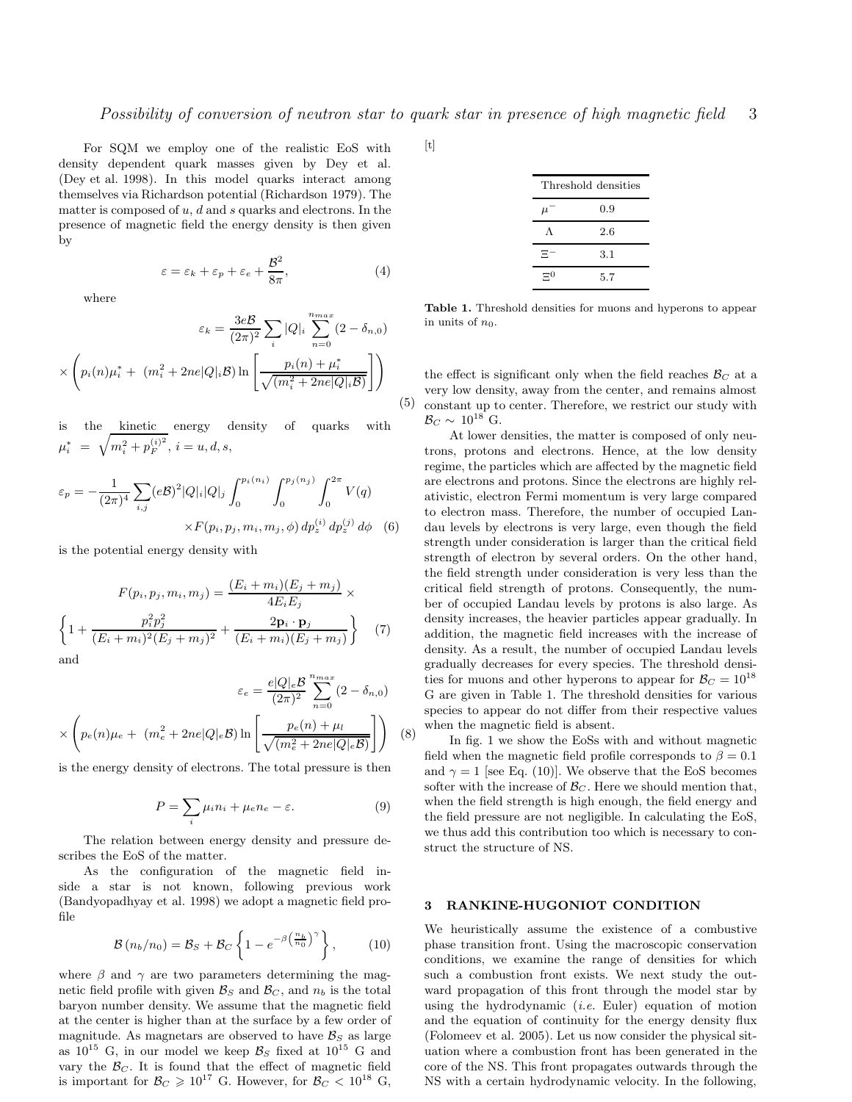For SQM we employ one of the realistic EoS with density dependent quark masses given by Dey et al. (Dey et al. 1998). In this model quarks interact among themselves via Richardson potential (Richardson 1979). The matter is composed of  $u$ ,  $d$  and  $s$  quarks and electrons. In the presence of magnetic field the energy density is then given by

$$
\varepsilon = \varepsilon_k + \varepsilon_p + \varepsilon_e + \frac{\mathcal{B}^2}{8\pi},\tag{4}
$$

where

$$
\varepsilon_k = \frac{3e\mathcal{B}}{(2\pi)^2} \sum_i |Q|_i \sum_{n=0}^{n_{max}} (2 - \delta_{n,0})
$$

$$
\times \left( p_i(n)\mu_i^* + (m_i^2 + 2ne|Q|_i)\ln\left[\frac{p_i(n) + \mu_i^*}{\sqrt{(m_i^2 + 2ne|Q|_i)\mathcal{B}}}\right] \right)
$$
(5)

the kinetic energy density of quarks with  $\mu_i^* \; = \; \sqrt{m_i^2 + p_F^{(i)^2}}, \, i = u,d,s,$ 

$$
\varepsilon_p = -\frac{1}{(2\pi)^4} \sum_{i,j} (e\mathcal{B})^2 |Q|_i |Q|_j \int_0^{p_i(n_i)} \int_0^{p_j(n_j)} \int_0^{2\pi} V(q) \times F(p_i, p_j, m_i, m_j, \phi) dp_z^{(i)} dp_z^{(j)} d\phi
$$
 (6)

is the potential energy density with

$$
F(p_i, p_j, m_i, m_j) = \frac{(E_i + m_i)(E_j + m_j)}{4E_iE_j} \times \left\{ 1 + \frac{p_i^2 p_j^2}{(E_i + m_i)^2 (E_j + m_j)^2} + \frac{2\mathbf{p}_i \cdot \mathbf{p}_j}{(E_i + m_i)(E_j + m_j)} \right\}
$$
(7)

and

$$
\varepsilon_e = \frac{e|Q|_e \mathcal{B}}{(2\pi)^2} \sum_{n=0}^{n_{max}} (2 - \delta_{n,0})
$$

$$
\times \left( p_e(n)\mu_e + (m_e^2 + 2ne|Q|_e \mathcal{B}) \ln \left[ \frac{p_e(n) + \mu_l}{\sqrt{(m_e^2 + 2ne|Q|_e \mathcal{B})}} \right] \right) \tag{8}
$$

is the energy density of electrons. The total pressure is then

$$
P = \sum_{i} \mu_i n_i + \mu_e n_e - \varepsilon. \tag{9}
$$

The relation between energy density and pressure describes the EoS of the matter.

As the configuration of the magnetic field inside a star is not known, following previous work (Bandyopadhyay et al. 1998) we adopt a magnetic field profile

$$
\mathcal{B}\left(n_b/n_0\right) = \mathcal{B}_S + \mathcal{B}_C \left\{ 1 - e^{-\beta \left(\frac{n_b}{n_0}\right)^{\gamma}} \right\},\qquad(10)
$$

where  $\beta$  and  $\gamma$  are two parameters determining the magnetic field profile with given  $\mathcal{B}_S$  and  $\mathcal{B}_C$ , and  $n_b$  is the total baryon number density. We assume that the magnetic field at the center is higher than at the surface by a few order of magnitude. As magnetars are observed to have  $\mathcal{B}_S$  as large as  $10^{15}$  G, in our model we keep  $\mathcal{B}_S$  fixed at  $10^{15}$  G and vary the  $\mathcal{B}_C$ . It is found that the effect of magnetic field is important for  $\mathcal{B}_C \geq 10^{17}$  G. However, for  $\mathcal{B}_C < 10^{18}$  G,

 $[t]$ 

| Threshold densities |     |
|---------------------|-----|
| $\mu$               | 0.9 |
| Λ                   | 2.6 |
| $\Xi^-$             | 3.1 |
| $\Xi^0$             | 5.7 |

Table 1. Threshold densities for muons and hyperons to appear in units of  $n_0$ .

the effect is significant only when the field reaches  $\mathcal{B}_C$  at a very low density, away from the center, and remains almost constant up to center. Therefore, we restrict our study with  $\mathcal{B}_C \sim 10^{18}$  G.

At lower densities, the matter is composed of only neutrons, protons and electrons. Hence, at the low density regime, the particles which are affected by the magnetic field are electrons and protons. Since the electrons are highly relativistic, electron Fermi momentum is very large compared to electron mass. Therefore, the number of occupied Landau levels by electrons is very large, even though the field strength under consideration is larger than the critical field strength of electron by several orders. On the other hand, the field strength under consideration is very less than the critical field strength of protons. Consequently, the number of occupied Landau levels by protons is also large. As density increases, the heavier particles appear gradually. In addition, the magnetic field increases with the increase of density. As a result, the number of occupied Landau levels gradually decreases for every species. The threshold densities for muons and other hyperons to appear for  $B<sub>C</sub> = 10<sup>18</sup>$ G are given in Table 1. The threshold densities for various species to appear do not differ from their respective values when the magnetic field is absent.

In fig. 1 we show the EoSs with and without magnetic field when the magnetic field profile corresponds to  $\beta = 0.1$ and  $\gamma = 1$  [see Eq. (10)]. We observe that the EoS becomes softer with the increase of  $\mathcal{B}_{C}$ . Here we should mention that, when the field strength is high enough, the field energy and the field pressure are not negligible. In calculating the EoS, we thus add this contribution too which is necessary to construct the structure of NS.

#### 3 RANKINE-HUGONIOT CONDITION

We heuristically assume the existence of a combustive phase transition front. Using the macroscopic conservation conditions, we examine the range of densities for which such a combustion front exists. We next study the outward propagation of this front through the model star by using the hydrodynamic  $(i.e.$  Euler) equation of motion and the equation of continuity for the energy density flux (Folomeev et al. 2005). Let us now consider the physical situation where a combustion front has been generated in the core of the NS. This front propagates outwards through the NS with a certain hydrodynamic velocity. In the following,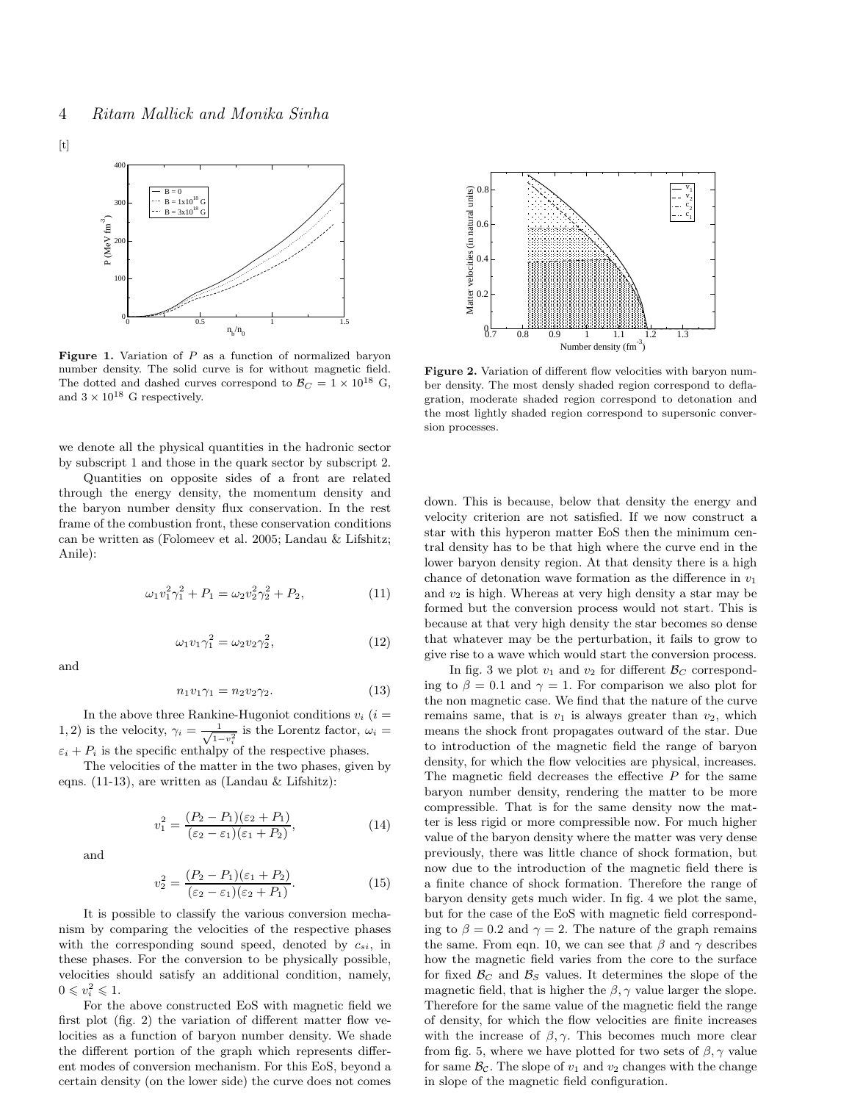

**Figure 1.** Variation of  $P$  as a function of normalized baryon number density. The solid curve is for without magnetic field. The dotted and dashed curves correspond to  $B_C = 1 \times 10^{18}$  G, and  $3 \times 10^{18}$  G respectively.

we denote all the physical quantities in the hadronic sector by subscript 1 and those in the quark sector by subscript 2.

Quantities on opposite sides of a front are related through the energy density, the momentum density and the baryon number density flux conservation. In the rest frame of the combustion front, these conservation conditions can be written as (Folomeev et al. 2005; Landau & Lifshitz; Anile):

$$
\omega_1 v_1^2 \gamma_1^2 + P_1 = \omega_2 v_2^2 \gamma_2^2 + P_2,\tag{11}
$$

and

 $[t]$ 

$$
n_1v_1\gamma_1 = n_2v_2\gamma_2.\tag{13}
$$

 $(12)$ 

In the above three Rankine-Hugoniot conditions  $v_i$  (i = 1, 2) is the velocity,  $\gamma_i = \frac{1}{\sqrt{1 - v_i^2}}$  is the Lorentz factor,  $\omega_i =$  $\varepsilon_i + P_i$  is the specific enthalpy of the respective phases.

 $\omega_1 v_1 \gamma_1^2 = \omega_2 v_2 \gamma_2^2$ 

The velocities of the matter in the two phases, given by eqns. (11-13), are written as (Landau & Lifshitz):

$$
v_1^2 = \frac{(P_2 - P_1)(\varepsilon_2 + P_1)}{(\varepsilon_2 - \varepsilon_1)(\varepsilon_1 + P_2)},
$$
\n(14)

and

$$
v_2^2 = \frac{(P_2 - P_1)(\varepsilon_1 + P_2)}{(\varepsilon_2 - \varepsilon_1)(\varepsilon_2 + P_1)}.
$$
 (15)

It is possible to classify the various conversion mechanism by comparing the velocities of the respective phases with the corresponding sound speed, denoted by  $c_{si}$ , in these phases. For the conversion to be physically possible, velocities should satisfy an additional condition, namely,  $0 \leqslant v_i^2 \leqslant 1.$ 

For the above constructed EoS with magnetic field we first plot (fig. 2) the variation of different matter flow velocities as a function of baryon number density. We shade the different portion of the graph which represents different modes of conversion mechanism. For this EoS, beyond a certain density (on the lower side) the curve does not comes



Figure 2. Variation of different flow velocities with baryon number density. The most densly shaded region correspond to deflagration, moderate shaded region correspond to detonation and the most lightly shaded region correspond to supersonic conversion processes.

down. This is because, below that density the energy and velocity criterion are not satisfied. If we now construct a star with this hyperon matter EoS then the minimum central density has to be that high where the curve end in the lower baryon density region. At that density there is a high chance of detonation wave formation as the difference in  $v_1$ and  $v_2$  is high. Whereas at very high density a star may be formed but the conversion process would not start. This is because at that very high density the star becomes so dense that whatever may be the perturbation, it fails to grow to give rise to a wave which would start the conversion process.

In fig. 3 we plot  $v_1$  and  $v_2$  for different  $\mathcal{B}_C$  corresponding to  $\beta = 0.1$  and  $\gamma = 1$ . For comparison we also plot for the non magnetic case. We find that the nature of the curve remains same, that is  $v_1$  is always greater than  $v_2$ , which means the shock front propagates outward of the star. Due to introduction of the magnetic field the range of baryon density, for which the flow velocities are physical, increases. The magnetic field decreases the effective  $P$  for the same baryon number density, rendering the matter to be more compressible. That is for the same density now the matter is less rigid or more compressible now. For much higher value of the baryon density where the matter was very dense previously, there was little chance of shock formation, but now due to the introduction of the magnetic field there is a finite chance of shock formation. Therefore the range of baryon density gets much wider. In fig. 4 we plot the same, but for the case of the EoS with magnetic field corresponding to  $\beta = 0.2$  and  $\gamma = 2$ . The nature of the graph remains the same. From eqn. 10, we can see that  $\beta$  and  $\gamma$  describes how the magnetic field varies from the core to the surface for fixed  $\mathcal{B}_C$  and  $\mathcal{B}_S$  values. It determines the slope of the magnetic field, that is higher the  $\beta$ ,  $\gamma$  value larger the slope. Therefore for the same value of the magnetic field the range of density, for which the flow velocities are finite increases with the increase of  $\beta$ ,  $\gamma$ . This becomes much more clear from fig. 5, where we have plotted for two sets of  $\beta$ ,  $\gamma$  value for same  $\mathcal{B}_{\mathcal{C}}$ . The slope of  $v_1$  and  $v_2$  changes with the change in slope of the magnetic field configuration.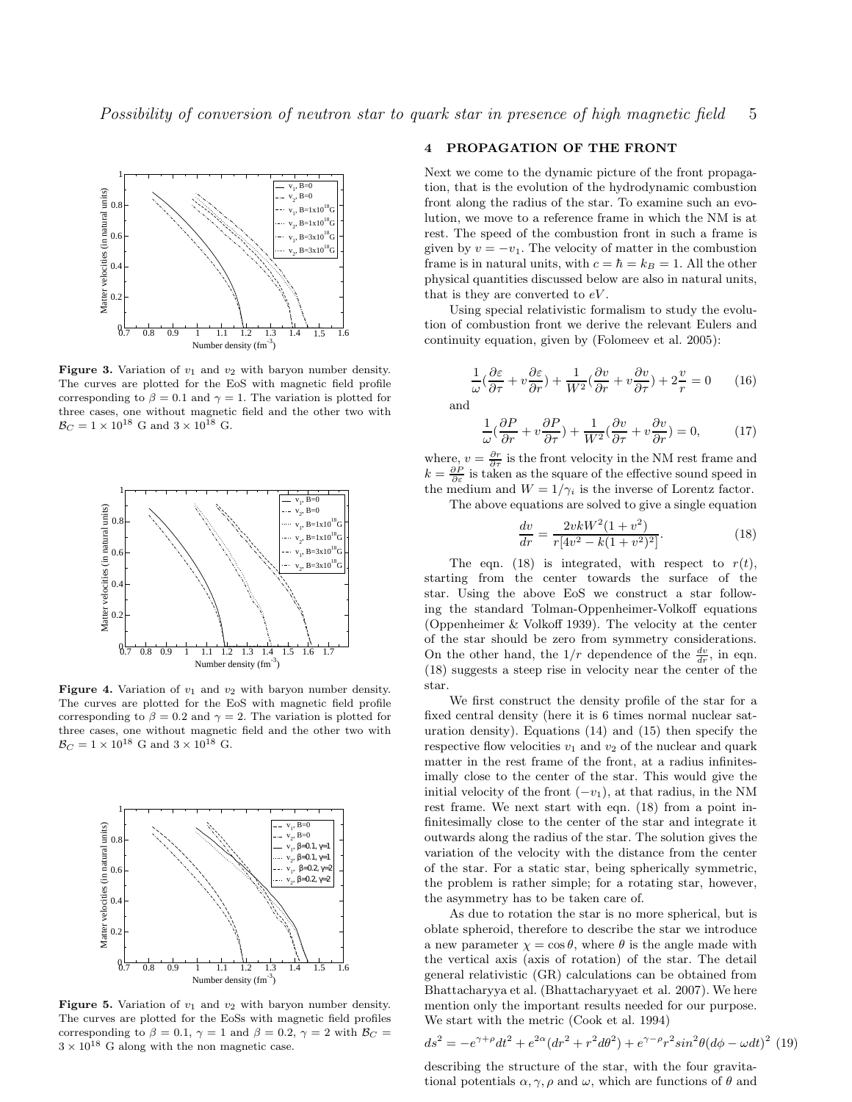

Figure 3. Variation of  $v_1$  and  $v_2$  with baryon number density. The curves are plotted for the EoS with magnetic field profile corresponding to  $\beta = 0.1$  and  $\gamma = 1$ . The variation is plotted for three cases, one without magnetic field and the other two with  $B_C = 1 \times 10^{18}$  G and  $3 \times 10^{18}$  G.



Figure 4. Variation of  $v_1$  and  $v_2$  with baryon number density. The curves are plotted for the EoS with magnetic field profile corresponding to  $\beta = 0.2$  and  $\gamma = 2$ . The variation is plotted for three cases, one without magnetic field and the other two with  $B_C = 1 \times 10^{18}$  G and  $3 \times 10^{18}$  G.



**Figure 5.** Variation of  $v_1$  and  $v_2$  with baryon number density. The curves are plotted for the EoSs with magnetic field profiles corresponding to  $\beta = 0.1$ ,  $\gamma = 1$  and  $\beta = 0.2$ ,  $\gamma = 2$  with  $\mathcal{B}_C =$  $3 \times 10^{18}$  G along with the non magnetic case.

# 4 PROPAGATION OF THE FRONT

Next we come to the dynamic picture of the front propagation, that is the evolution of the hydrodynamic combustion front along the radius of the star. To examine such an evolution, we move to a reference frame in which the NM is at rest. The speed of the combustion front in such a frame is given by  $v = -v_1$ . The velocity of matter in the combustion frame is in natural units, with  $c = \hbar = k_B = 1$ . All the other physical quantities discussed below are also in natural units, that is they are converted to  $eV$ .

Using special relativistic formalism to study the evolution of combustion front we derive the relevant Eulers and continuity equation, given by (Folomeev et al. 2005):

$$
\frac{1}{\omega}(\frac{\partial \varepsilon}{\partial \tau} + v \frac{\partial \varepsilon}{\partial r}) + \frac{1}{W^2}(\frac{\partial v}{\partial r} + v \frac{\partial v}{\partial \tau}) + 2\frac{v}{r} = 0 \qquad (16)
$$

and

$$
\frac{1}{\omega}(\frac{\partial P}{\partial r} + v\frac{\partial P}{\partial \tau}) + \frac{1}{W^2}(\frac{\partial v}{\partial \tau} + v\frac{\partial v}{\partial r}) = 0, \tag{17}
$$

where,  $v = \frac{\partial r}{\partial \tau}$  is the front velocity in the NM rest frame and  $k = \frac{\partial P}{\partial \varepsilon}$  is taken as the square of the effective sound speed in the medium and  $W = 1/\gamma_i$  is the inverse of Lorentz factor. The above equations are solved to give a single equation

$$
\frac{dv}{dr} = \frac{2vkW^2(1+v^2)}{r[4v^2-k(1+v^2)^2]}.
$$
\n(18)

The eqn. (18) is integrated, with respect to  $r(t)$ , starting from the center towards the surface of the star. Using the above EoS we construct a star following the standard Tolman-Oppenheimer-Volkoff equations (Oppenheimer & Volkoff 1939). The velocity at the center of the star should be zero from symmetry considerations. On the other hand, the  $1/r$  dependence of the  $\frac{dv}{dr}$ , in eqn. (18) suggests a steep rise in velocity near the center of the star.

We first construct the density profile of the star for a fixed central density (here it is 6 times normal nuclear saturation density). Equations (14) and (15) then specify the respective flow velocities  $v_1$  and  $v_2$  of the nuclear and quark matter in the rest frame of the front, at a radius infinitesimally close to the center of the star. This would give the initial velocity of the front  $(-v_1)$ , at that radius, in the NM rest frame. We next start with eqn. (18) from a point infinitesimally close to the center of the star and integrate it outwards along the radius of the star. The solution gives the variation of the velocity with the distance from the center of the star. For a static star, being spherically symmetric, the problem is rather simple; for a rotating star, however, the asymmetry has to be taken care of.

As due to rotation the star is no more spherical, but is oblate spheroid, therefore to describe the star we introduce a new parameter  $\chi = \cos \theta$ , where  $\theta$  is the angle made with the vertical axis (axis of rotation) of the star. The detail general relativistic (GR) calculations can be obtained from Bhattacharyya et al. (Bhattacharyyaet et al. 2007). We here mention only the important results needed for our purpose. We start with the metric (Cook et al. 1994)

$$
ds^{2} = -e^{\gamma + \rho}dt^{2} + e^{2\alpha}(dr^{2} + r^{2}d\theta^{2}) + e^{\gamma - \rho}r^{2}\sin^{2}\theta(d\phi - \omega dt)^{2}
$$
(19)

describing the structure of the star, with the four gravitational potentials  $\alpha$ ,  $\gamma$ ,  $\rho$  and  $\omega$ , which are functions of  $\theta$  and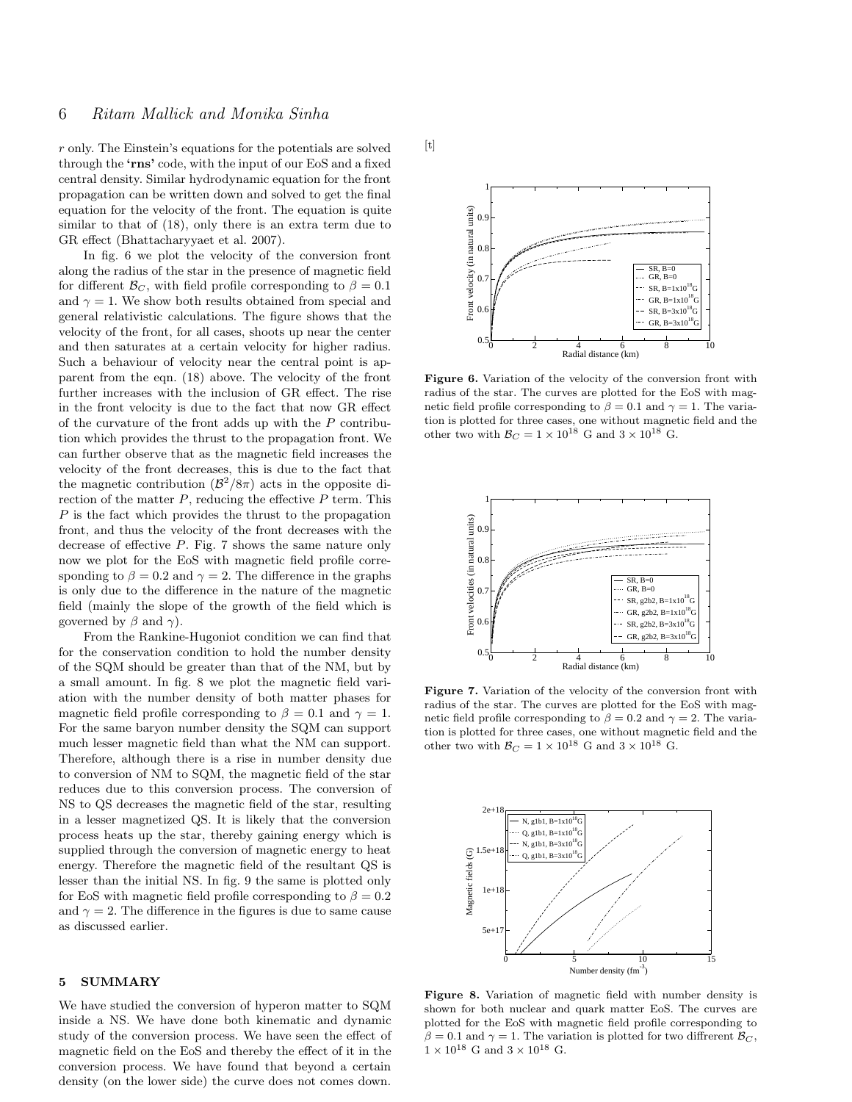r only. The Einstein's equations for the potentials are solved through the 'rns' code, with the input of our EoS and a fixed central density. Similar hydrodynamic equation for the front propagation can be written down and solved to get the final equation for the velocity of the front. The equation is quite similar to that of (18), only there is an extra term due to GR effect (Bhattacharyyaet et al. 2007).

In fig. 6 we plot the velocity of the conversion front along the radius of the star in the presence of magnetic field for different  $\mathcal{B}_C$ , with field profile corresponding to  $\beta = 0.1$ and  $\gamma = 1$ . We show both results obtained from special and general relativistic calculations. The figure shows that the velocity of the front, for all cases, shoots up near the center and then saturates at a certain velocity for higher radius. Such a behaviour of velocity near the central point is apparent from the eqn. (18) above. The velocity of the front further increases with the inclusion of GR effect. The rise in the front velocity is due to the fact that now GR effect of the curvature of the front adds up with the  $P$  contribution which provides the thrust to the propagation front. We can further observe that as the magnetic field increases the velocity of the front decreases, this is due to the fact that the magnetic contribution  $(B^2/8\pi)$  acts in the opposite direction of the matter  $P$ , reducing the effective  $P$  term. This P is the fact which provides the thrust to the propagation front, and thus the velocity of the front decreases with the decrease of effective P. Fig. 7 shows the same nature only now we plot for the EoS with magnetic field profile corresponding to  $\beta = 0.2$  and  $\gamma = 2$ . The difference in the graphs is only due to the difference in the nature of the magnetic field (mainly the slope of the growth of the field which is governed by  $\beta$  and  $\gamma$ ).

From the Rankine-Hugoniot condition we can find that for the conservation condition to hold the number density of the SQM should be greater than that of the NM, but by a small amount. In fig. 8 we plot the magnetic field variation with the number density of both matter phases for magnetic field profile corresponding to  $\beta = 0.1$  and  $\gamma = 1$ . For the same baryon number density the SQM can support much lesser magnetic field than what the NM can support. Therefore, although there is a rise in number density due to conversion of NM to SQM, the magnetic field of the star reduces due to this conversion process. The conversion of NS to QS decreases the magnetic field of the star, resulting in a lesser magnetized QS. It is likely that the conversion process heats up the star, thereby gaining energy which is supplied through the conversion of magnetic energy to heat energy. Therefore the magnetic field of the resultant QS is lesser than the initial NS. In fig. 9 the same is plotted only for EoS with magnetic field profile corresponding to  $\beta = 0.2$ and  $\gamma = 2$ . The difference in the figures is due to same cause as discussed earlier.

#### 5 SUMMARY

We have studied the conversion of hyperon matter to SQM inside a NS. We have done both kinematic and dynamic study of the conversion process. We have seen the effect of magnetic field on the EoS and thereby the effect of it in the conversion process. We have found that beyond a certain density (on the lower side) the curve does not comes down.

 $[t]$ 



Figure 6. Variation of the velocity of the conversion front with radius of the star. The curves are plotted for the EoS with magnetic field profile corresponding to  $\beta = 0.1$  and  $\gamma = 1$ . The variation is plotted for three cases, one without magnetic field and the other two with  $\mathcal{B}_C = 1 \times 10^{18}$  G and  $3 \times 10^{18}$  G.



Figure 7. Variation of the velocity of the conversion front with radius of the star. The curves are plotted for the EoS with magnetic field profile corresponding to  $\beta = 0.2$  and  $\gamma = 2$ . The variation is plotted for three cases, one without magnetic field and the other two with  $\mathcal{B}_C = 1 \times 10^{18}$  G and  $3 \times 10^{18}$  G.



Figure 8. Variation of magnetic field with number density is shown for both nuclear and quark matter EoS. The curves are plotted for the EoS with magnetic field profile corresponding to  $\beta = 0.1$  and  $\gamma = 1$ . The variation is plotted for two diffrerent  $\mathcal{B}_C$ ,  $1\times 10^{18}$  G and  $3\times 10^{18}$  G.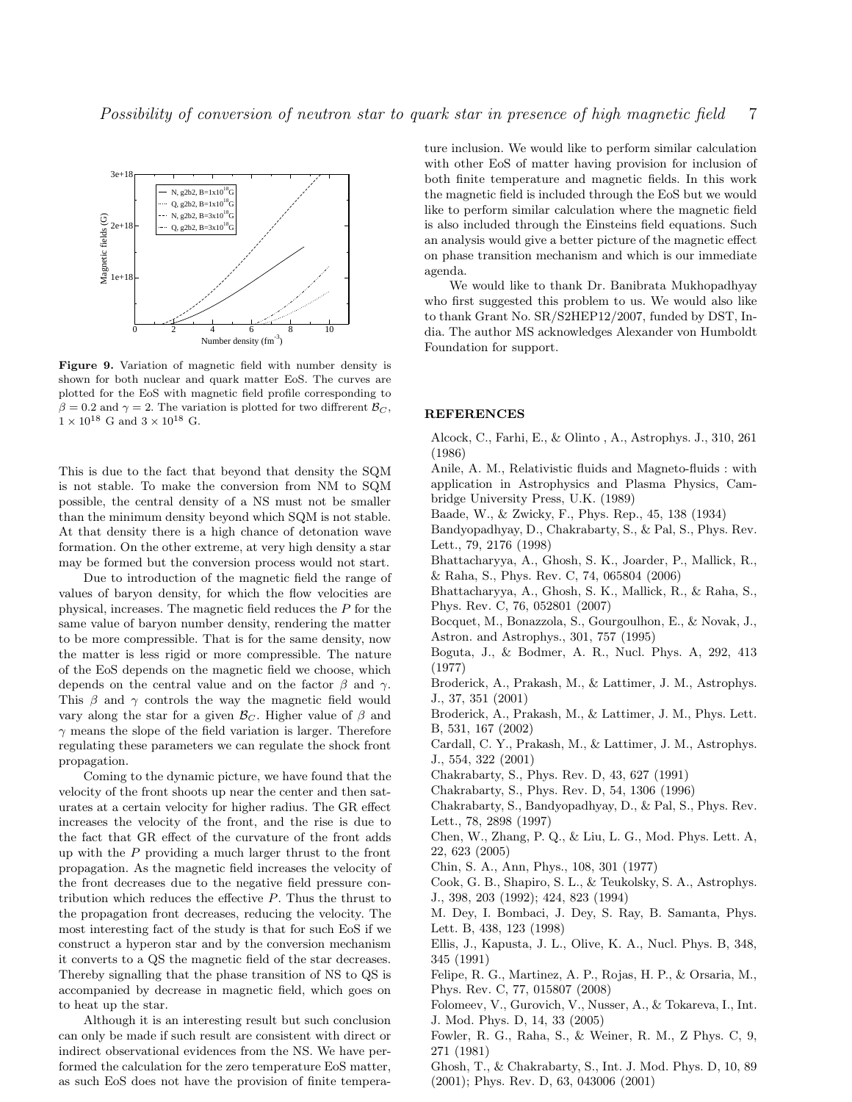

Figure 9. Variation of magnetic field with number density is shown for both nuclear and quark matter EoS. The curves are plotted for the EoS with magnetic field profile corresponding to  $\beta = 0.2$  and  $\gamma = 2$ . The variation is plotted for two diffrerent  $\mathcal{B}_C$ ,  $1\times10^{18}$  G and  $3\times10^{18}$  G.

This is due to the fact that beyond that density the SQM is not stable. To make the conversion from NM to SQM possible, the central density of a NS must not be smaller than the minimum density beyond which SQM is not stable. At that density there is a high chance of detonation wave formation. On the other extreme, at very high density a star may be formed but the conversion process would not start.

Due to introduction of the magnetic field the range of values of baryon density, for which the flow velocities are physical, increases. The magnetic field reduces the P for the same value of baryon number density, rendering the matter to be more compressible. That is for the same density, now the matter is less rigid or more compressible. The nature of the EoS depends on the magnetic field we choose, which depends on the central value and on the factor  $\beta$  and  $\gamma$ . This  $\beta$  and  $\gamma$  controls the way the magnetic field would vary along the star for a given  $\mathcal{B}_C$ . Higher value of  $\beta$  and  $\gamma$  means the slope of the field variation is larger. Therefore regulating these parameters we can regulate the shock front propagation.

Coming to the dynamic picture, we have found that the velocity of the front shoots up near the center and then saturates at a certain velocity for higher radius. The GR effect increases the velocity of the front, and the rise is due to the fact that GR effect of the curvature of the front adds up with the P providing a much larger thrust to the front propagation. As the magnetic field increases the velocity of the front decreases due to the negative field pressure contribution which reduces the effective P. Thus the thrust to the propagation front decreases, reducing the velocity. The most interesting fact of the study is that for such EoS if we construct a hyperon star and by the conversion mechanism it converts to a QS the magnetic field of the star decreases. Thereby signalling that the phase transition of NS to QS is accompanied by decrease in magnetic field, which goes on to heat up the star.

Although it is an interesting result but such conclusion can only be made if such result are consistent with direct or indirect observational evidences from the NS. We have performed the calculation for the zero temperature EoS matter, as such EoS does not have the provision of finite tempera-

ture inclusion. We would like to perform similar calculation with other EoS of matter having provision for inclusion of both finite temperature and magnetic fields. In this work the magnetic field is included through the EoS but we would like to perform similar calculation where the magnetic field is also included through the Einsteins field equations. Such an analysis would give a better picture of the magnetic effect on phase transition mechanism and which is our immediate agenda.

We would like to thank Dr. Banibrata Mukhopadhyay who first suggested this problem to us. We would also like to thank Grant No. SR/S2HEP12/2007, funded by DST, India. The author MS acknowledges Alexander von Humboldt Foundation for support.

#### REFERENCES

- Alcock, C., Farhi, E., & Olinto , A., Astrophys. J., 310, 261 (1986)
- Anile, A. M., Relativistic fluids and Magneto-fluids : with application in Astrophysics and Plasma Physics, Cambridge University Press, U.K. (1989)
- Baade, W., & Zwicky, F., Phys. Rep., 45, 138 (1934)
- Bandyopadhyay, D., Chakrabarty, S., & Pal, S., Phys. Rev. Lett., 79, 2176 (1998)
- Bhattacharyya, A., Ghosh, S. K., Joarder, P., Mallick, R., & Raha, S., Phys. Rev. C, 74, 065804 (2006)
- Bhattacharyya, A., Ghosh, S. K., Mallick, R., & Raha, S., Phys. Rev. C, 76, 052801 (2007)
- Bocquet, M., Bonazzola, S., Gourgoulhon, E., & Novak, J., Astron. and Astrophys., 301, 757 (1995)
- Boguta, J., & Bodmer, A. R., Nucl. Phys. A, 292, 413 (1977)
- Broderick, A., Prakash, M., & Lattimer, J. M., Astrophys. J., 37, 351 (2001)
- Broderick, A., Prakash, M., & Lattimer, J. M., Phys. Lett. B, 531, 167 (2002)
- Cardall, C. Y., Prakash, M., & Lattimer, J. M., Astrophys. J., 554, 322 (2001)
- Chakrabarty, S., Phys. Rev. D, 43, 627 (1991)
- Chakrabarty, S., Phys. Rev. D, 54, 1306 (1996)
- Chakrabarty, S., Bandyopadhyay, D., & Pal, S., Phys. Rev. Lett., 78, 2898 (1997)
- Chen, W., Zhang, P. Q., & Liu, L. G., Mod. Phys. Lett. A, 22, 623 (2005)
- Chin, S. A., Ann, Phys., 108, 301 (1977)
- Cook, G. B., Shapiro, S. L., & Teukolsky, S. A., Astrophys. J., 398, 203 (1992); 424, 823 (1994)
- M. Dey, I. Bombaci, J. Dey, S. Ray, B. Samanta, Phys. Lett. B, 438, 123 (1998)
- Ellis, J., Kapusta, J. L., Olive, K. A., Nucl. Phys. B, 348, 345 (1991)
- Felipe, R. G., Martinez, A. P., Rojas, H. P., & Orsaria, M., Phys. Rev. C, 77, 015807 (2008)
- Folomeev, V., Gurovich, V., Nusser, A., & Tokareva, I., Int. J. Mod. Phys. D, 14, 33 (2005)
- Fowler, R. G., Raha, S., & Weiner, R. M., Z Phys. C, 9, 271 (1981)
- Ghosh, T., & Chakrabarty, S., Int. J. Mod. Phys. D, 10, 89 (2001); Phys. Rev. D, 63, 043006 (2001)